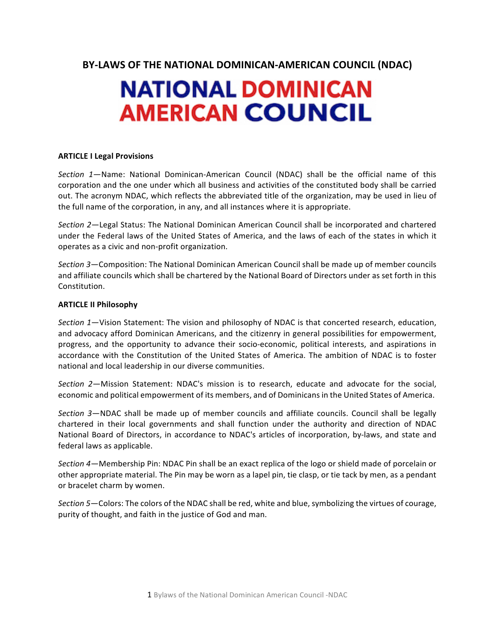**BY-LAWS OF THE NATIONAL DOMINICAN-AMERICAN COUNCIL (NDAC)** 

# **NATIONAL DOMINICAN AMERICAN COUNCIL**

# **ARTICLE I Legal Provisions**

*Section* 1—Name: National Dominican-American Council (NDAC) shall be the official name of this corporation and the one under which all business and activities of the constituted body shall be carried out. The acronym NDAC, which reflects the abbreviated title of the organization, may be used in lieu of the full name of the corporation, in any, and all instances where it is appropriate.

*Section* 2—Legal Status: The National Dominican American Council shall be incorporated and chartered under the Federal laws of the United States of America, and the laws of each of the states in which it operates as a civic and non-profit organization.

*Section* 3—Composition: The National Dominican American Council shall be made up of member councils and affiliate councils which shall be chartered by the National Board of Directors under as set forth in this Constitution.

# **ARTICLE II Philosophy**

*Section* 1—Vision Statement: The vision and philosophy of NDAC is that concerted research, education, and advocacy afford Dominican Americans, and the citizenry in general possibilities for empowerment, progress, and the opportunity to advance their socio-economic, political interests, and aspirations in accordance with the Constitution of the United States of America. The ambition of NDAC is to foster national and local leadership in our diverse communities.

*Section* 2—Mission Statement: NDAC's mission is to research, educate and advocate for the social, economic and political empowerment of its members, and of Dominicans in the United States of America.

*Section* 3—NDAC shall be made up of member councils and affiliate councils. Council shall be legally chartered in their local governments and shall function under the authority and direction of NDAC National Board of Directors, in accordance to NDAC's articles of incorporation, by-laws, and state and federal laws as applicable.

*Section* 4—Membership Pin: NDAC Pin shall be an exact replica of the logo or shield made of porcelain or other appropriate material. The Pin may be worn as a lapel pin, tie clasp, or tie tack by men, as a pendant or bracelet charm by women.

Section 5-Colors: The colors of the NDAC shall be red, white and blue, symbolizing the virtues of courage, purity of thought, and faith in the justice of God and man.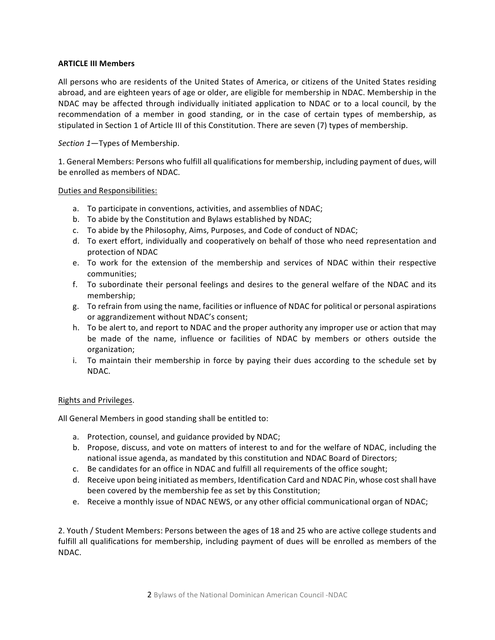# **ARTICLE III Members**

All persons who are residents of the United States of America, or citizens of the United States residing abroad, and are eighteen years of age or older, are eligible for membership in NDAC. Membership in the NDAC may be affected through individually initiated application to NDAC or to a local council, by the recommendation of a member in good standing, or in the case of certain types of membership, as stipulated in Section 1 of Article III of this Constitution. There are seven (7) types of membership.

*Section* 1-Types of Membership.

1. General Members: Persons who fulfill all qualifications for membership, including payment of dues, will be enrolled as members of NDAC.

#### Duties and Responsibilities:

- a. To participate in conventions, activities, and assemblies of NDAC;
- b. To abide by the Constitution and Bylaws established by NDAC;
- c. To abide by the Philosophy, Aims, Purposes, and Code of conduct of NDAC;
- d. To exert effort, individually and cooperatively on behalf of those who need representation and protection of NDAC
- e. To work for the extension of the membership and services of NDAC within their respective communities;
- f. To subordinate their personal feelings and desires to the general welfare of the NDAC and its membership;
- g. To refrain from using the name, facilities or influence of NDAC for political or personal aspirations or aggrandizement without NDAC's consent;
- h. To be alert to, and report to NDAC and the proper authority any improper use or action that may be made of the name, influence or facilities of NDAC by members or others outside the organization;
- i. To maintain their membership in force by paying their dues according to the schedule set by NDAC.

# Rights and Privileges.

All General Members in good standing shall be entitled to:

- a. Protection, counsel, and guidance provided by NDAC;
- b. Propose, discuss, and vote on matters of interest to and for the welfare of NDAC, including the national issue agenda, as mandated by this constitution and NDAC Board of Directors;
- c. Be candidates for an office in NDAC and fulfill all requirements of the office sought;
- d. Receive upon being initiated as members, Identification Card and NDAC Pin, whose cost shall have been covered by the membership fee as set by this Constitution;
- e. Receive a monthly issue of NDAC NEWS, or any other official communicational organ of NDAC;

2. Youth / Student Members: Persons between the ages of 18 and 25 who are active college students and fulfill all qualifications for membership, including payment of dues will be enrolled as members of the NDAC.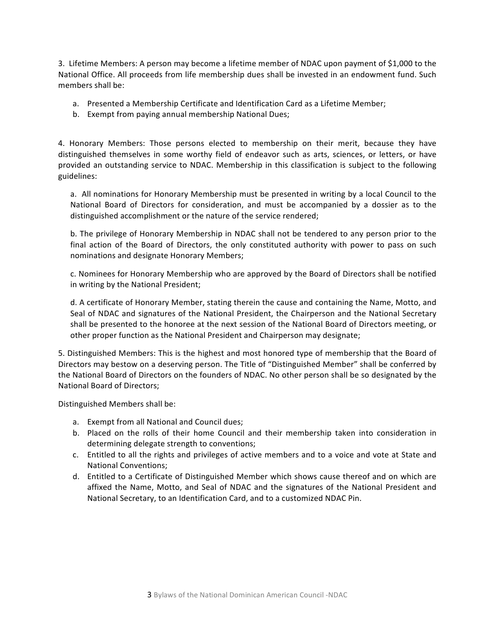3. Lifetime Members: A person may become a lifetime member of NDAC upon payment of \$1,000 to the National Office. All proceeds from life membership dues shall be invested in an endowment fund. Such members shall be:

- a. Presented a Membership Certificate and Identification Card as a Lifetime Member;
- b. Exempt from paying annual membership National Dues;

4. Honorary Members: Those persons elected to membership on their merit, because they have distinguished themselves in some worthy field of endeavor such as arts, sciences, or letters, or have provided an outstanding service to NDAC. Membership in this classification is subject to the following guidelines:

a. All nominations for Honorary Membership must be presented in writing by a local Council to the National Board of Directors for consideration, and must be accompanied by a dossier as to the distinguished accomplishment or the nature of the service rendered;

b. The privilege of Honorary Membership in NDAC shall not be tendered to any person prior to the final action of the Board of Directors, the only constituted authority with power to pass on such nominations and designate Honorary Members;

c. Nominees for Honorary Membership who are approved by the Board of Directors shall be notified in writing by the National President;

d. A certificate of Honorary Member, stating therein the cause and containing the Name, Motto, and Seal of NDAC and signatures of the National President, the Chairperson and the National Secretary shall be presented to the honoree at the next session of the National Board of Directors meeting, or other proper function as the National President and Chairperson may designate;

5. Distinguished Members: This is the highest and most honored type of membership that the Board of Directors may bestow on a deserving person. The Title of "Distinguished Member" shall be conferred by the National Board of Directors on the founders of NDAC. No other person shall be so designated by the National Board of Directors;

Distinguished Members shall be:

- a. Exempt from all National and Council dues;
- b. Placed on the rolls of their home Council and their membership taken into consideration in determining delegate strength to conventions;
- c. Entitled to all the rights and privileges of active members and to a voice and vote at State and National Conventions;
- d. Entitled to a Certificate of Distinguished Member which shows cause thereof and on which are affixed the Name, Motto, and Seal of NDAC and the signatures of the National President and National Secretary, to an Identification Card, and to a customized NDAC Pin.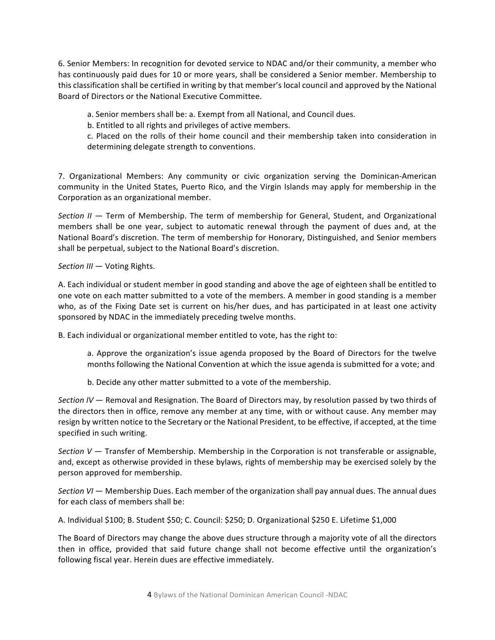6. Senior Members: In recognition for devoted service to NDAC and/or their community, a member who has continuously paid dues for 10 or more years, shall be considered a Senior member. Membership to this classification shall be certified in writing by that member's local council and approved by the National Board of Directors or the National Executive Committee.

a. Senior members shall be: a. Exempt from all National, and Council dues.

b. Entitled to all rights and privileges of active members.

c. Placed on the rolls of their home council and their membership taken into consideration in determining delegate strength to conventions.

7. Organizational Members: Any community or civic organization serving the Dominican-American community in the United States, Puerto Rico, and the Virgin Islands may apply for membership in the Corporation as an organizational member.

*Section II* — Term of Membership. The term of membership for General, Student, and Organizational members shall be one year, subject to automatic renewal through the payment of dues and, at the National Board's discretion. The term of membership for Honorary, Distinguished, and Senior members shall be perpetual, subject to the National Board's discretion.

*Section III* — Voting Rights.

A. Each individual or student member in good standing and above the age of eighteen shall be entitled to one vote on each matter submitted to a vote of the members. A member in good standing is a member who, as of the Fixing Date set is current on his/her dues, and has participated in at least one activity sponsored by NDAC in the immediately preceding twelve months.

B. Each individual or organizational member entitled to vote, has the right to:

a. Approve the organization's issue agenda proposed by the Board of Directors for the twelve months following the National Convention at which the issue agenda is submitted for a vote; and

b. Decide any other matter submitted to a vote of the membership.

*Section* IV — Removal and Resignation. The Board of Directors may, by resolution passed by two thirds of the directors then in office, remove any member at any time, with or without cause. Any member may resign by written notice to the Secretary or the National President, to be effective, if accepted, at the time specified in such writing.

*Section*  $V -$  Transfer of Membership. Membership in the Corporation is not transferable or assignable, and, except as otherwise provided in these bylaws, rights of membership may be exercised solely by the person approved for membership.

*Section VI* — Membership Dues. Each member of the organization shall pay annual dues. The annual dues for each class of members shall be:

A. Individual \$100; B. Student \$50; C. Council: \$250; D. Organizational \$250 E. Lifetime \$1,000

The Board of Directors may change the above dues structure through a majority vote of all the directors then in office, provided that said future change shall not become effective until the organization's following fiscal year. Herein dues are effective immediately.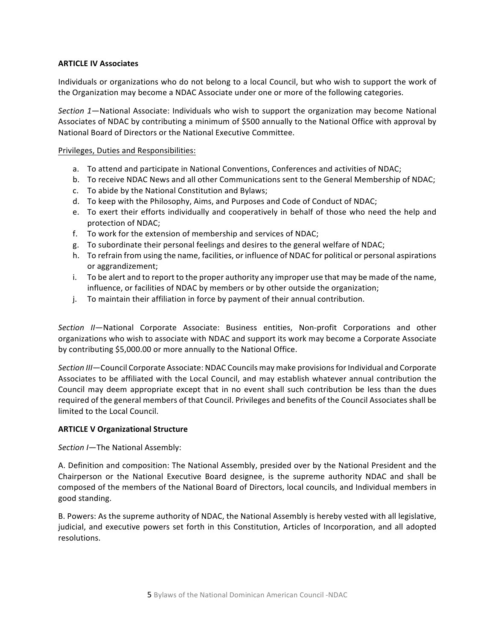# **ARTICLE IV Associates**

Individuals or organizations who do not belong to a local Council, but who wish to support the work of the Organization may become a NDAC Associate under one or more of the following categories.

Section 1—National Associate: Individuals who wish to support the organization may become National Associates of NDAC by contributing a minimum of \$500 annually to the National Office with approval by National Board of Directors or the National Executive Committee.

#### Privileges, Duties and Responsibilities:

- a. To attend and participate in National Conventions, Conferences and activities of NDAC;
- b. To receive NDAC News and all other Communications sent to the General Membership of NDAC;
- c. To abide by the National Constitution and Bylaws;
- d. To keep with the Philosophy, Aims, and Purposes and Code of Conduct of NDAC;
- e. To exert their efforts individually and cooperatively in behalf of those who need the help and protection of NDAC;
- f. To work for the extension of membership and services of NDAC;
- g. To subordinate their personal feelings and desires to the general welfare of NDAC;
- h. To refrain from using the name, facilities, or influence of NDAC for political or personal aspirations or aggrandizement;
- i. To be alert and to report to the proper authority any improper use that may be made of the name, influence, or facilities of NDAC by members or by other outside the organization;
- j. To maintain their affiliation in force by payment of their annual contribution.

Section *II*—National Corporate Associate: Business entities, Non-profit Corporations and other organizations who wish to associate with NDAC and support its work may become a Corporate Associate by contributing \$5,000.00 or more annually to the National Office.

Section III—Council Corporate Associate: NDAC Councils may make provisions for Individual and Corporate Associates to be affiliated with the Local Council, and may establish whatever annual contribution the Council may deem appropriate except that in no event shall such contribution be less than the dues required of the general members of that Council. Privileges and benefits of the Council Associates shall be limited to the Local Council.

#### **ARTICLE V Organizational Structure**

*Section I*—The National Assembly:

A. Definition and composition: The National Assembly, presided over by the National President and the Chairperson or the National Executive Board designee, is the supreme authority NDAC and shall be composed of the members of the National Board of Directors, local councils, and Individual members in good standing.

B. Powers: As the supreme authority of NDAC, the National Assembly is hereby vested with all legislative, judicial, and executive powers set forth in this Constitution, Articles of Incorporation, and all adopted resolutions.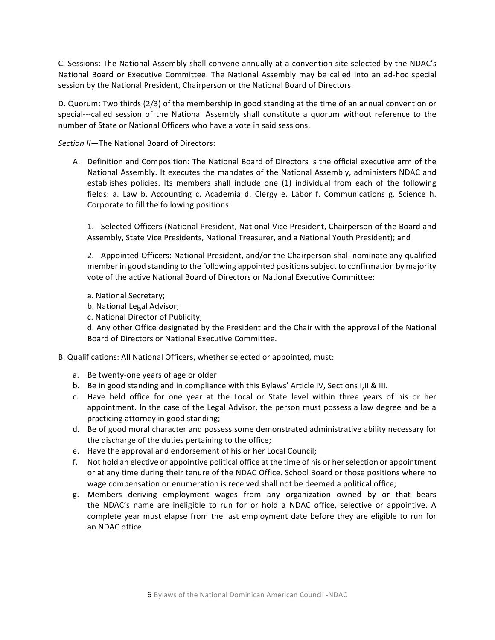C. Sessions: The National Assembly shall convene annually at a convention site selected by the NDAC's National Board or Executive Committee. The National Assembly may be called into an ad-hoc special session by the National President, Chairperson or the National Board of Directors.

D. Quorum: Two thirds (2/3) of the membership in good standing at the time of an annual convention or special---called session of the National Assembly shall constitute a quorum without reference to the number of State or National Officers who have a vote in said sessions.

*Section II—*The National Board of Directors:

A. Definition and Composition: The National Board of Directors is the official executive arm of the National Assembly. It executes the mandates of the National Assembly, administers NDAC and establishes policies. Its members shall include one (1) individual from each of the following fields: a. Law b. Accounting c. Academia d. Clergy e. Labor f. Communications g. Science h. Corporate to fill the following positions:

1. Selected Officers (National President, National Vice President, Chairperson of the Board and Assembly, State Vice Presidents, National Treasurer, and a National Youth President); and

2. Appointed Officers: National President, and/or the Chairperson shall nominate any qualified member in good standing to the following appointed positions subject to confirmation by majority vote of the active National Board of Directors or National Executive Committee:

- a. National Secretary;
- b. National Legal Advisor;
- c. National Director of Publicity;

d. Any other Office designated by the President and the Chair with the approval of the National Board of Directors or National Executive Committee.

#### B. Qualifications: All National Officers, whether selected or appointed, must:

- a. Be twenty-one years of age or older
- b. Be in good standing and in compliance with this Bylaws' Article IV, Sections I, II & III.
- c. Have held office for one year at the Local or State level within three years of his or her appointment. In the case of the Legal Advisor, the person must possess a law degree and be a practicing attorney in good standing;
- d. Be of good moral character and possess some demonstrated administrative ability necessary for the discharge of the duties pertaining to the office;
- e. Have the approval and endorsement of his or her Local Council;
- f. Not hold an elective or appointive political office at the time of his or her selection or appointment or at any time during their tenure of the NDAC Office. School Board or those positions where no wage compensation or enumeration is received shall not be deemed a political office;
- g. Members deriving employment wages from any organization owned by or that bears the NDAC's name are ineligible to run for or hold a NDAC office, selective or appointive. A complete year must elapse from the last employment date before they are eligible to run for an NDAC office.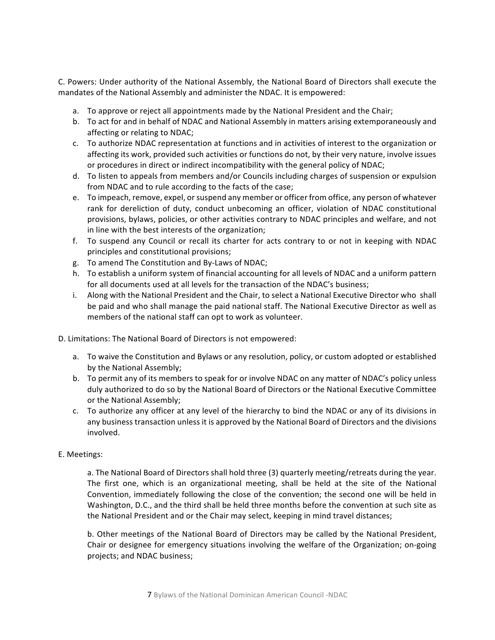C. Powers: Under authority of the National Assembly, the National Board of Directors shall execute the mandates of the National Assembly and administer the NDAC. It is empowered:

- a. To approve or reject all appointments made by the National President and the Chair;
- b. To act for and in behalf of NDAC and National Assembly in matters arising extemporaneously and affecting or relating to NDAC;
- c. To authorize NDAC representation at functions and in activities of interest to the organization or affecting its work, provided such activities or functions do not, by their very nature, involve issues or procedures in direct or indirect incompatibility with the general policy of NDAC;
- d. To listen to appeals from members and/or Councils including charges of suspension or expulsion from NDAC and to rule according to the facts of the case;
- e. To impeach, remove, expel, or suspend any member or officer from office, any person of whatever rank for dereliction of duty, conduct unbecoming an officer, violation of NDAC constitutional provisions, bylaws, policies, or other activities contrary to NDAC principles and welfare, and not in line with the best interests of the organization;
- f. To suspend any Council or recall its charter for acts contrary to or not in keeping with NDAC principles and constitutional provisions;
- g. To amend The Constitution and By-Laws of NDAC;
- h. To establish a uniform system of financial accounting for all levels of NDAC and a uniform pattern for all documents used at all levels for the transaction of the NDAC's business;
- i. Along with the National President and the Chair, to select a National Executive Director who shall be paid and who shall manage the paid national staff. The National Executive Director as well as members of the national staff can opt to work as volunteer.
- D. Limitations: The National Board of Directors is not empowered:
	- a. To waive the Constitution and Bylaws or any resolution, policy, or custom adopted or established by the National Assembly;
	- b. To permit any of its members to speak for or involve NDAC on any matter of NDAC's policy unless duly authorized to do so by the National Board of Directors or the National Executive Committee or the National Assembly;
	- c. To authorize any officer at any level of the hierarchy to bind the NDAC or any of its divisions in any business transaction unless it is approved by the National Board of Directors and the divisions involved.

# E. Meetings:

a. The National Board of Directors shall hold three (3) quarterly meeting/retreats during the year. The first one, which is an organizational meeting, shall be held at the site of the National Convention, immediately following the close of the convention; the second one will be held in Washington, D.C., and the third shall be held three months before the convention at such site as the National President and or the Chair may select, keeping in mind travel distances;

b. Other meetings of the National Board of Directors may be called by the National President, Chair or designee for emergency situations involving the welfare of the Organization; on-going projects; and NDAC business;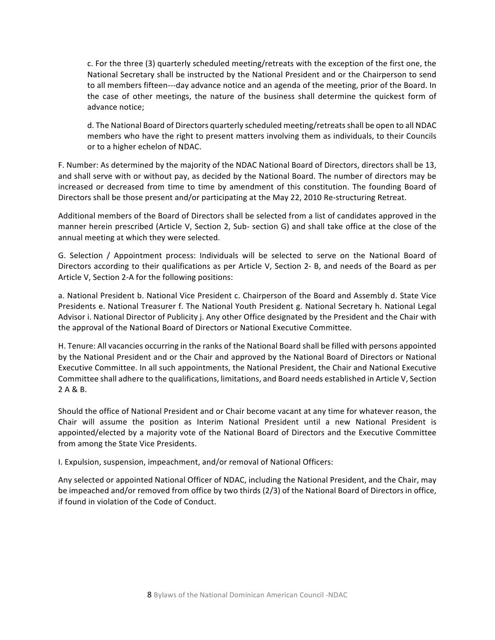c. For the three (3) quarterly scheduled meeting/retreats with the exception of the first one, the National Secretary shall be instructed by the National President and or the Chairperson to send to all members fifteen---day advance notice and an agenda of the meeting, prior of the Board. In the case of other meetings, the nature of the business shall determine the quickest form of advance notice:

d. The National Board of Directors quarterly scheduled meeting/retreats shall be open to all NDAC members who have the right to present matters involving them as individuals, to their Councils or to a higher echelon of NDAC.

F. Number: As determined by the majority of the NDAC National Board of Directors, directors shall be 13, and shall serve with or without pay, as decided by the National Board. The number of directors may be increased or decreased from time to time by amendment of this constitution. The founding Board of Directors shall be those present and/or participating at the May 22, 2010 Re-structuring Retreat.

Additional members of the Board of Directors shall be selected from a list of candidates approved in the manner herein prescribed (Article V, Section 2, Sub- section G) and shall take office at the close of the annual meeting at which they were selected.

G. Selection / Appointment process: Individuals will be selected to serve on the National Board of Directors according to their qualifications as per Article V, Section 2- B, and needs of the Board as per Article V, Section 2-A for the following positions:

a. National President b. National Vice President c. Chairperson of the Board and Assembly d. State Vice Presidents e. National Treasurer f. The National Youth President g. National Secretary h. National Legal Advisor i. National Director of Publicity j. Any other Office designated by the President and the Chair with the approval of the National Board of Directors or National Executive Committee.

H. Tenure: All vacancies occurring in the ranks of the National Board shall be filled with persons appointed by the National President and or the Chair and approved by the National Board of Directors or National Executive Committee. In all such appointments, the National President, the Chair and National Executive Committee shall adhere to the qualifications, limitations, and Board needs established in Article V, Section 2 A & B.

Should the office of National President and or Chair become vacant at any time for whatever reason, the Chair will assume the position as Interim National President until a new National President is appointed/elected by a majority vote of the National Board of Directors and the Executive Committee from among the State Vice Presidents.

I. Expulsion, suspension, impeachment, and/or removal of National Officers:

Any selected or appointed National Officer of NDAC, including the National President, and the Chair, may be impeached and/or removed from office by two thirds (2/3) of the National Board of Directors in office, if found in violation of the Code of Conduct.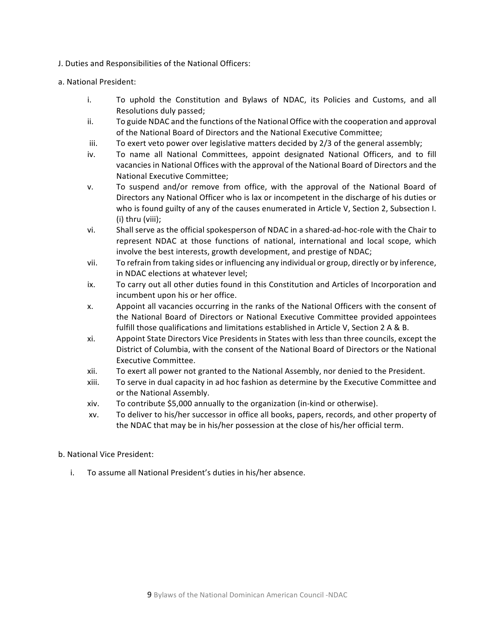- J. Duties and Responsibilities of the National Officers:
- a. National President:
	- i. To uphold the Constitution and Bylaws of NDAC, its Policies and Customs, and all Resolutions duly passed;
	- ii. To guide NDAC and the functions of the National Office with the cooperation and approval of the National Board of Directors and the National Executive Committee;
	- iii. To exert veto power over legislative matters decided by  $2/3$  of the general assembly;
	- iv. To name all National Committees, appoint designated National Officers, and to fill vacancies in National Offices with the approval of the National Board of Directors and the National Executive Committee:
	- v. To suspend and/or remove from office, with the approval of the National Board of Directors any National Officer who is lax or incompetent in the discharge of his duties or who is found guilty of any of the causes enumerated in Article V, Section 2, Subsection I.  $(i)$  thru  $(viii)$ ;
	- vi. Shall serve as the official spokesperson of NDAC in a shared-ad-hoc-role with the Chair to represent NDAC at those functions of national, international and local scope, which involve the best interests, growth development, and prestige of NDAC;
	- vii. To refrain from taking sides or influencing any individual or group, directly or by inference, in NDAC elections at whatever level;
	- ix. To carry out all other duties found in this Constitution and Articles of Incorporation and incumbent upon his or her office.
	- x. Appoint all vacancies occurring in the ranks of the National Officers with the consent of the National Board of Directors or National Executive Committee provided appointees fulfill those qualifications and limitations established in Article V, Section 2 A & B.
	- xi. Appoint State Directors Vice Presidents in States with less than three councils, except the District of Columbia, with the consent of the National Board of Directors or the National Executive Committee.
	- xii. To exert all power not granted to the National Assembly, nor denied to the President.
	- xiii. To serve in dual capacity in ad hoc fashion as determine by the Executive Committee and or the National Assembly.
	- xiv. To contribute \$5,000 annually to the organization (in-kind or otherwise).
	- xv. To deliver to his/her successor in office all books, papers, records, and other property of the NDAC that may be in his/her possession at the close of his/her official term.

#### b. National Vice President:

i. To assume all National President's duties in his/her absence.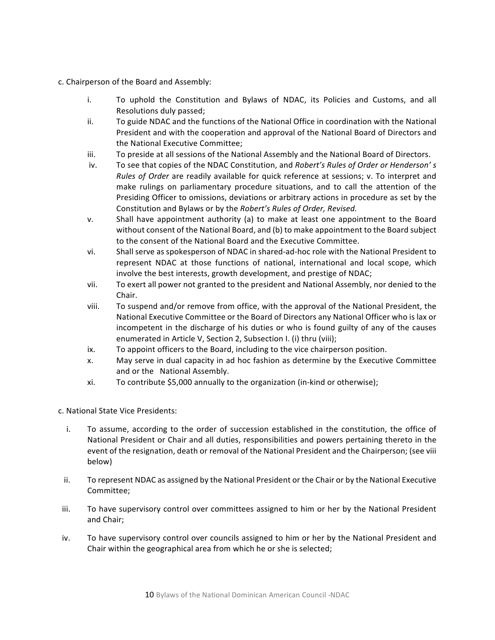- c. Chairperson of the Board and Assembly:
	- i. To uphold the Constitution and Bylaws of NDAC, its Policies and Customs, and all Resolutions duly passed;
	- ii. To guide NDAC and the functions of the National Office in coordination with the National President and with the cooperation and approval of the National Board of Directors and the National Executive Committee:
	- iii. To preside at all sessions of the National Assembly and the National Board of Directors.
	- iv. To see that copies of the NDAC Constitution, and *Robert's Rules of Order or Henderson's Rules of Order* are readily available for quick reference at sessions; v. To interpret and make rulings on parliamentary procedure situations, and to call the attention of the Presiding Officer to omissions, deviations or arbitrary actions in procedure as set by the Constitution and Bylaws or by the *Robert's Rules of Order, Revised.*
	- v. Shall have appointment authority (a) to make at least one appointment to the Board without consent of the National Board, and (b) to make appointment to the Board subject to the consent of the National Board and the Executive Committee.
	- vi. Shall serve as spokesperson of NDAC in shared-ad-hoc role with the National President to represent NDAC at those functions of national, international and local scope, which involve the best interests, growth development, and prestige of NDAC;
	- vii. To exert all power not granted to the president and National Assembly, nor denied to the Chair.
	- viii. To suspend and/or remove from office, with the approval of the National President, the National Executive Committee or the Board of Directors any National Officer who is lax or incompetent in the discharge of his duties or who is found guilty of any of the causes enumerated in Article V, Section 2, Subsection I. (i) thru (viii);
	- ix. To appoint officers to the Board, including to the vice chairperson position.
	- x. May serve in dual capacity in ad hoc fashion as determine by the Executive Committee and or the National Assembly.
	- xi. To contribute \$5,000 annually to the organization (in-kind or otherwise);
- c. National State Vice Presidents:
	- i. To assume, according to the order of succession established in the constitution, the office of National President or Chair and all duties, responsibilities and powers pertaining thereto in the event of the resignation, death or removal of the National President and the Chairperson; (see viii below)
	- ii. To represent NDAC as assigned by the National President or the Chair or by the National Executive Committee;
- iii. To have supervisory control over committees assigned to him or her by the National President and Chair;
- iv. To have supervisory control over councils assigned to him or her by the National President and Chair within the geographical area from which he or she is selected;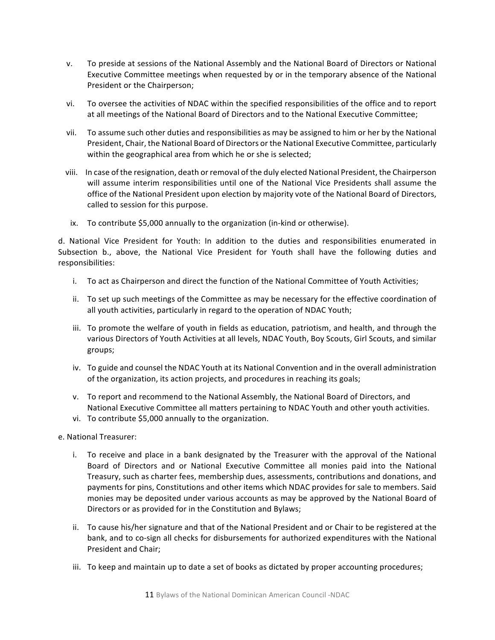- v. To preside at sessions of the National Assembly and the National Board of Directors or National Executive Committee meetings when requested by or in the temporary absence of the National President or the Chairperson;
- vi. To oversee the activities of NDAC within the specified responsibilities of the office and to report at all meetings of the National Board of Directors and to the National Executive Committee;
- vii. To assume such other duties and responsibilities as may be assigned to him or her by the National President, Chair, the National Board of Directors or the National Executive Committee, particularly within the geographical area from which he or she is selected;
- viii. In case of the resignation, death or removal of the duly elected National President, the Chairperson will assume interim responsibilities until one of the National Vice Presidents shall assume the office of the National President upon election by majority vote of the National Board of Directors, called to session for this purpose.
- ix. To contribute \$5,000 annually to the organization (in-kind or otherwise).

d. National Vice President for Youth: In addition to the duties and responsibilities enumerated in Subsection b., above, the National Vice President for Youth shall have the following duties and responsibilities:

- i. To act as Chairperson and direct the function of the National Committee of Youth Activities;
- ii. To set up such meetings of the Committee as may be necessary for the effective coordination of all youth activities, particularly in regard to the operation of NDAC Youth;
- iii. To promote the welfare of youth in fields as education, patriotism, and health, and through the various Directors of Youth Activities at all levels, NDAC Youth, Boy Scouts, Girl Scouts, and similar groups;
- iv. To guide and counsel the NDAC Youth at its National Convention and in the overall administration of the organization, its action projects, and procedures in reaching its goals;
- v. To report and recommend to the National Assembly, the National Board of Directors, and National Executive Committee all matters pertaining to NDAC Youth and other youth activities.
- vi. To contribute \$5,000 annually to the organization.
- e. National Treasurer:
	- i. To receive and place in a bank designated by the Treasurer with the approval of the National Board of Directors and or National Executive Committee all monies paid into the National Treasury, such as charter fees, membership dues, assessments, contributions and donations, and payments for pins, Constitutions and other items which NDAC provides for sale to members. Said monies may be deposited under various accounts as may be approved by the National Board of Directors or as provided for in the Constitution and Bylaws;
	- ii. To cause his/her signature and that of the National President and or Chair to be registered at the bank, and to co-sign all checks for disbursements for authorized expenditures with the National President and Chair:
	- iii. To keep and maintain up to date a set of books as dictated by proper accounting procedures;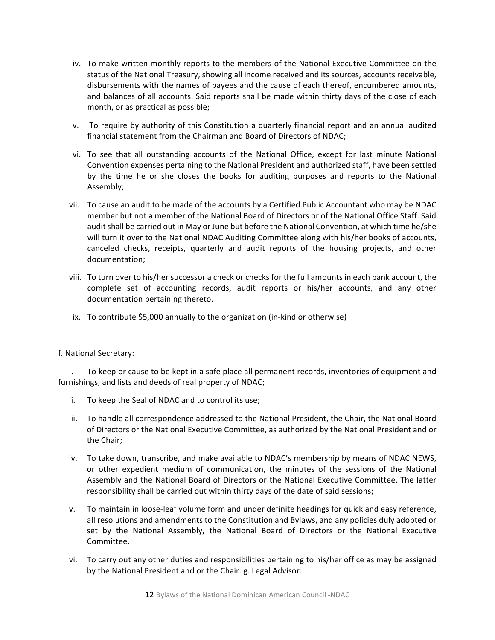- iv. To make written monthly reports to the members of the National Executive Committee on the status of the National Treasury, showing all income received and its sources, accounts receivable, disbursements with the names of payees and the cause of each thereof, encumbered amounts, and balances of all accounts. Said reports shall be made within thirty days of the close of each month, or as practical as possible;
- v. To require by authority of this Constitution a quarterly financial report and an annual audited financial statement from the Chairman and Board of Directors of NDAC;
- vi. To see that all outstanding accounts of the National Office, except for last minute National Convention expenses pertaining to the National President and authorized staff, have been settled by the time he or she closes the books for auditing purposes and reports to the National Assembly;
- vii. To cause an audit to be made of the accounts by a Certified Public Accountant who may be NDAC member but not a member of the National Board of Directors or of the National Office Staff. Said audit shall be carried out in May or June but before the National Convention, at which time he/she will turn it over to the National NDAC Auditing Committee along with his/her books of accounts, canceled checks, receipts, quarterly and audit reports of the housing projects, and other documentation;
- viii. To turn over to his/her successor a check or checks for the full amounts in each bank account, the complete set of accounting records, audit reports or his/her accounts, and any other documentation pertaining thereto.
- ix. To contribute \$5,000 annually to the organization (in-kind or otherwise)

# f. National Secretary:

i. To keep or cause to be kept in a safe place all permanent records, inventories of equipment and furnishings, and lists and deeds of real property of NDAC;

- ii. To keep the Seal of NDAC and to control its use;
- iii. To handle all correspondence addressed to the National President, the Chair, the National Board of Directors or the National Executive Committee, as authorized by the National President and or the Chair;
- iv. To take down, transcribe, and make available to NDAC's membership by means of NDAC NEWS, or other expedient medium of communication, the minutes of the sessions of the National Assembly and the National Board of Directors or the National Executive Committee. The latter responsibility shall be carried out within thirty days of the date of said sessions;
- v. To maintain in loose-leaf volume form and under definite headings for quick and easy reference, all resolutions and amendments to the Constitution and Bylaws, and any policies duly adopted or set by the National Assembly, the National Board of Directors or the National Executive Committee.
- vi. To carry out any other duties and responsibilities pertaining to his/her office as may be assigned by the National President and or the Chair. g. Legal Advisor: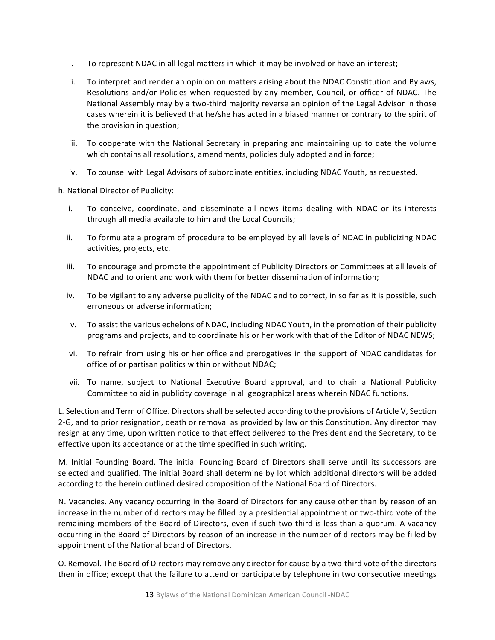- i. To represent NDAC in all legal matters in which it may be involved or have an interest;
- ii. To interpret and render an opinion on matters arising about the NDAC Constitution and Bylaws, Resolutions and/or Policies when requested by any member, Council, or officer of NDAC. The National Assembly may by a two-third majority reverse an opinion of the Legal Advisor in those cases wherein it is believed that he/she has acted in a biased manner or contrary to the spirit of the provision in question;
- iii. To cooperate with the National Secretary in preparing and maintaining up to date the volume which contains all resolutions, amendments, policies duly adopted and in force;
- iv. To counsel with Legal Advisors of subordinate entities, including NDAC Youth, as requested.

h. National Director of Publicity:

- i. To conceive, coordinate, and disseminate all news items dealing with NDAC or its interests through all media available to him and the Local Councils;
- ii. To formulate a program of procedure to be employed by all levels of NDAC in publicizing NDAC activities, projects, etc.
- iii. To encourage and promote the appointment of Publicity Directors or Committees at all levels of NDAC and to orient and work with them for better dissemination of information:
- iv. To be vigilant to any adverse publicity of the NDAC and to correct, in so far as it is possible, such erroneous or adverse information;
- v. To assist the various echelons of NDAC, including NDAC Youth, in the promotion of their publicity programs and projects, and to coordinate his or her work with that of the Editor of NDAC NEWS;
- vi. To refrain from using his or her office and prerogatives in the support of NDAC candidates for office of or partisan politics within or without NDAC;
- vii. To name, subject to National Executive Board approval, and to chair a National Publicity Committee to aid in publicity coverage in all geographical areas wherein NDAC functions.

L. Selection and Term of Office. Directors shall be selected according to the provisions of Article V, Section 2-G, and to prior resignation, death or removal as provided by law or this Constitution. Any director may resign at any time, upon written notice to that effect delivered to the President and the Secretary, to be effective upon its acceptance or at the time specified in such writing.

M. Initial Founding Board. The initial Founding Board of Directors shall serve until its successors are selected and qualified. The initial Board shall determine by lot which additional directors will be added according to the herein outlined desired composition of the National Board of Directors.

N. Vacancies. Any vacancy occurring in the Board of Directors for any cause other than by reason of an increase in the number of directors may be filled by a presidential appointment or two-third vote of the remaining members of the Board of Directors, even if such two-third is less than a quorum. A vacancy occurring in the Board of Directors by reason of an increase in the number of directors may be filled by appointment of the National board of Directors.

O. Removal. The Board of Directors may remove any director for cause by a two-third vote of the directors then in office; except that the failure to attend or participate by telephone in two consecutive meetings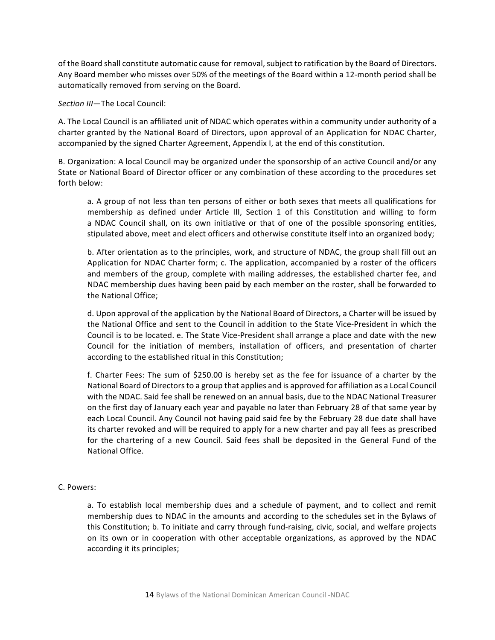of the Board shall constitute automatic cause for removal, subject to ratification by the Board of Directors. Any Board member who misses over 50% of the meetings of the Board within a 12-month period shall be automatically removed from serving on the Board.

#### *Section III*—The Local Council:

A. The Local Council is an affiliated unit of NDAC which operates within a community under authority of a charter granted by the National Board of Directors, upon approval of an Application for NDAC Charter, accompanied by the signed Charter Agreement, Appendix I, at the end of this constitution.

B. Organization: A local Council may be organized under the sponsorship of an active Council and/or any State or National Board of Director officer or any combination of these according to the procedures set forth below:

a. A group of not less than ten persons of either or both sexes that meets all qualifications for membership as defined under Article III, Section 1 of this Constitution and willing to form a NDAC Council shall, on its own initiative or that of one of the possible sponsoring entities, stipulated above, meet and elect officers and otherwise constitute itself into an organized body;

b. After orientation as to the principles, work, and structure of NDAC, the group shall fill out an Application for NDAC Charter form; c. The application, accompanied by a roster of the officers and members of the group, complete with mailing addresses, the established charter fee, and NDAC membership dues having been paid by each member on the roster, shall be forwarded to the National Office:

d. Upon approval of the application by the National Board of Directors, a Charter will be issued by the National Office and sent to the Council in addition to the State Vice-President in which the Council is to be located. e. The State Vice-President shall arrange a place and date with the new Council for the initiation of members, installation of officers, and presentation of charter according to the established ritual in this Constitution;

f. Charter Fees: The sum of \$250.00 is hereby set as the fee for issuance of a charter by the National Board of Directors to a group that applies and is approved for affiliation as a Local Council with the NDAC. Said fee shall be renewed on an annual basis, due to the NDAC National Treasurer on the first day of January each year and payable no later than February 28 of that same year by each Local Council. Any Council not having paid said fee by the February 28 due date shall have its charter revoked and will be required to apply for a new charter and pay all fees as prescribed for the chartering of a new Council. Said fees shall be deposited in the General Fund of the National Office.

#### C. Powers:

a. To establish local membership dues and a schedule of payment, and to collect and remit membership dues to NDAC in the amounts and according to the schedules set in the Bylaws of this Constitution; b. To initiate and carry through fund-raising, civic, social, and welfare projects on its own or in cooperation with other acceptable organizations, as approved by the NDAC according it its principles;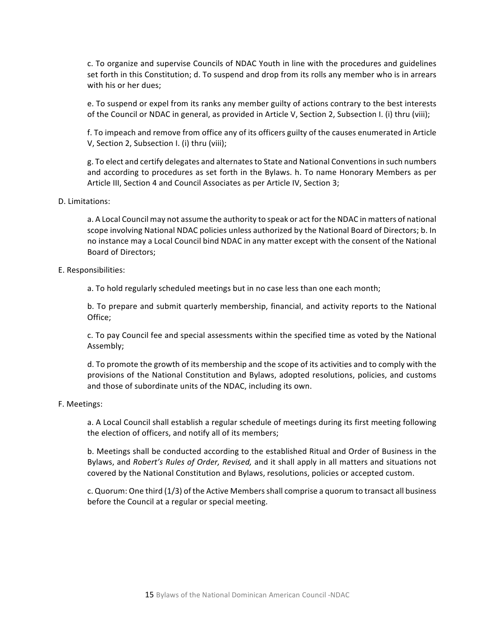c. To organize and supervise Councils of NDAC Youth in line with the procedures and guidelines set forth in this Constitution; d. To suspend and drop from its rolls any member who is in arrears with his or her dues;

e. To suspend or expel from its ranks any member guilty of actions contrary to the best interests of the Council or NDAC in general, as provided in Article V, Section 2, Subsection I. (i) thru (viii);

f. To impeach and remove from office any of its officers guilty of the causes enumerated in Article V, Section 2, Subsection I. (i) thru (viii);

g. To elect and certify delegates and alternates to State and National Conventions in such numbers and according to procedures as set forth in the Bylaws. h. To name Honorary Members as per Article III, Section 4 and Council Associates as per Article IV, Section 3;

#### D. Limitations:

a. A Local Council may not assume the authority to speak or act for the NDAC in matters of national scope involving National NDAC policies unless authorized by the National Board of Directors; b. In no instance may a Local Council bind NDAC in any matter except with the consent of the National Board of Directors;

#### E. Responsibilities:

a. To hold regularly scheduled meetings but in no case less than one each month;

b. To prepare and submit quarterly membership, financial, and activity reports to the National Office; 

c. To pay Council fee and special assessments within the specified time as voted by the National Assembly; 

d. To promote the growth of its membership and the scope of its activities and to comply with the provisions of the National Constitution and Bylaws, adopted resolutions, policies, and customs and those of subordinate units of the NDAC, including its own.

#### F. Meetings:

a. A Local Council shall establish a regular schedule of meetings during its first meeting following the election of officers, and notify all of its members;

b. Meetings shall be conducted according to the established Ritual and Order of Business in the Bylaws, and *Robert's Rules of Order, Revised,* and it shall apply in all matters and situations not covered by the National Constitution and Bylaws, resolutions, policies or accepted custom.

c. Quorum: One third (1/3) of the Active Members shall comprise a quorum to transact all business before the Council at a regular or special meeting.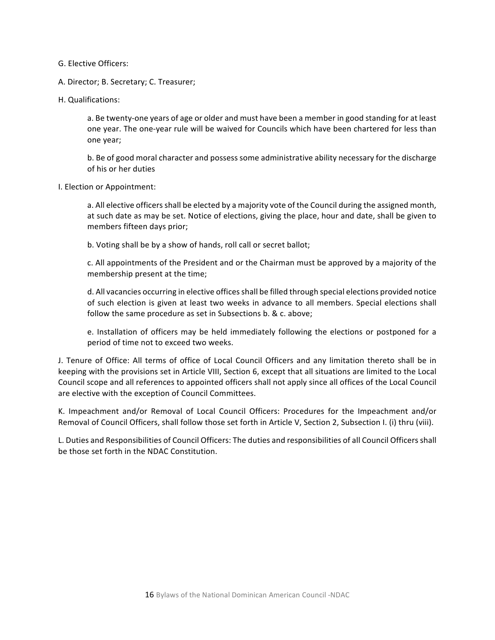G. Elective Officers: 

A. Director; B. Secretary; C. Treasurer;

H. Qualifications:

a. Be twenty-one years of age or older and must have been a member in good standing for at least one year. The one-year rule will be waived for Councils which have been chartered for less than one year;

b. Be of good moral character and possess some administrative ability necessary for the discharge of his or her duties

I. Election or Appointment:

a. All elective officers shall be elected by a majority vote of the Council during the assigned month, at such date as may be set. Notice of elections, giving the place, hour and date, shall be given to members fifteen days prior;

b. Voting shall be by a show of hands, roll call or secret ballot;

c. All appointments of the President and or the Chairman must be approved by a majority of the membership present at the time;

d. All vacancies occurring in elective offices shall be filled through special elections provided notice of such election is given at least two weeks in advance to all members. Special elections shall follow the same procedure as set in Subsections b. & c. above;

e. Installation of officers may be held immediately following the elections or postponed for a period of time not to exceed two weeks.

J. Tenure of Office: All terms of office of Local Council Officers and any limitation thereto shall be in keeping with the provisions set in Article VIII, Section 6, except that all situations are limited to the Local Council scope and all references to appointed officers shall not apply since all offices of the Local Council are elective with the exception of Council Committees.

K. Impeachment and/or Removal of Local Council Officers: Procedures for the Impeachment and/or Removal of Council Officers, shall follow those set forth in Article V, Section 2, Subsection I. (i) thru (viii).

L. Duties and Responsibilities of Council Officers: The duties and responsibilities of all Council Officers shall be those set forth in the NDAC Constitution.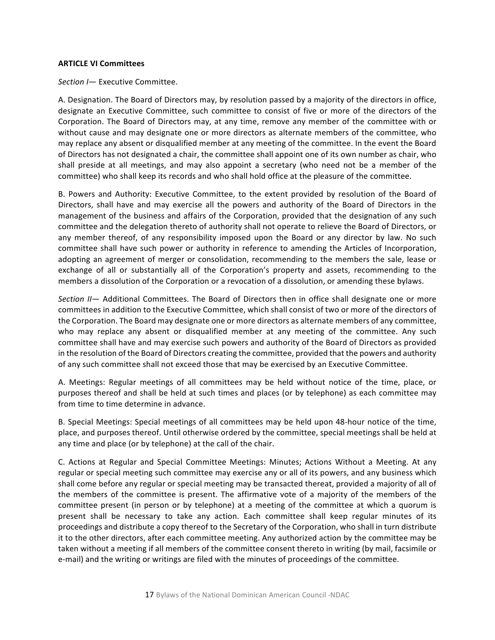#### **ARTICLE VI Committees**

*Section I*— Executive Committee.

A. Designation. The Board of Directors may, by resolution passed by a majority of the directors in office, designate an Executive Committee, such committee to consist of five or more of the directors of the Corporation. The Board of Directors may, at any time, remove any member of the committee with or without cause and may designate one or more directors as alternate members of the committee, who may replace any absent or disqualified member at any meeting of the committee. In the event the Board of Directors has not designated a chair, the committee shall appoint one of its own number as chair, who shall preside at all meetings, and may also appoint a secretary (who need not be a member of the committee) who shall keep its records and who shall hold office at the pleasure of the committee.

B. Powers and Authority: Executive Committee, to the extent provided by resolution of the Board of Directors, shall have and may exercise all the powers and authority of the Board of Directors in the management of the business and affairs of the Corporation, provided that the designation of any such committee and the delegation thereto of authority shall not operate to relieve the Board of Directors, or any member thereof, of any responsibility imposed upon the Board or any director by law. No such committee shall have such power or authority in reference to amending the Articles of Incorporation, adopting an agreement of merger or consolidation, recommending to the members the sale, lease or exchange of all or substantially all of the Corporation's property and assets, recommending to the members a dissolution of the Corporation or a revocation of a dissolution, or amending these bylaws.

*Section* II- Additional Committees. The Board of Directors then in office shall designate one or more committees in addition to the Executive Committee, which shall consist of two or more of the directors of the Corporation. The Board may designate one or more directors as alternate members of any committee, who may replace any absent or disqualified member at any meeting of the committee. Any such committee shall have and may exercise such powers and authority of the Board of Directors as provided in the resolution of the Board of Directors creating the committee, provided that the powers and authority of any such committee shall not exceed those that may be exercised by an Executive Committee.

A. Meetings: Regular meetings of all committees may be held without notice of the time, place, or purposes thereof and shall be held at such times and places (or by telephone) as each committee may from time to time determine in advance.

B. Special Meetings: Special meetings of all committees may be held upon 48-hour notice of the time, place, and purposes thereof. Until otherwise ordered by the committee, special meetings shall be held at any time and place (or by telephone) at the call of the chair.

C. Actions at Regular and Special Committee Meetings: Minutes; Actions Without a Meeting. At any regular or special meeting such committee may exercise any or all of its powers, and any business which shall come before any regular or special meeting may be transacted thereat, provided a majority of all of the members of the committee is present. The affirmative vote of a majority of the members of the committee present (in person or by telephone) at a meeting of the committee at which a quorum is present shall be necessary to take any action. Each committee shall keep regular minutes of its proceedings and distribute a copy thereof to the Secretary of the Corporation, who shall in turn distribute it to the other directors, after each committee meeting. Any authorized action by the committee may be taken without a meeting if all members of the committee consent thereto in writing (by mail, facsimile or e-mail) and the writing or writings are filed with the minutes of proceedings of the committee.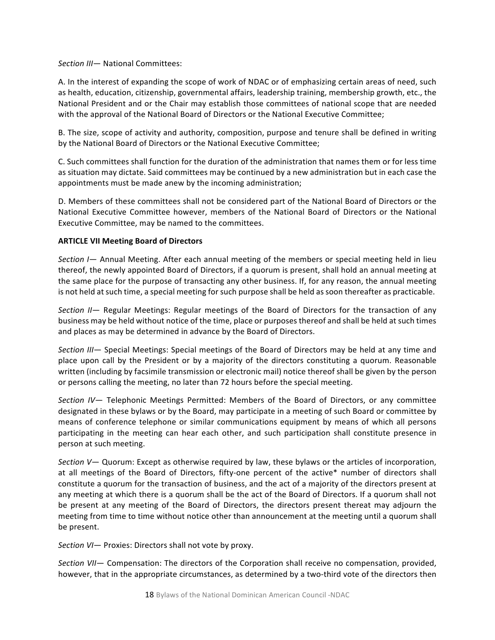*Section III* — National Committees:

A. In the interest of expanding the scope of work of NDAC or of emphasizing certain areas of need, such as health, education, citizenship, governmental affairs, leadership training, membership growth, etc., the National President and or the Chair may establish those committees of national scope that are needed with the approval of the National Board of Directors or the National Executive Committee;

B. The size, scope of activity and authority, composition, purpose and tenure shall be defined in writing by the National Board of Directors or the National Executive Committee;

C. Such committees shall function for the duration of the administration that names them or for less time as situation may dictate. Said committees may be continued by a new administration but in each case the appointments must be made anew by the incoming administration;

D. Members of these committees shall not be considered part of the National Board of Directors or the National Executive Committee however, members of the National Board of Directors or the National Executive Committee, may be named to the committees.

# **ARTICLE VII Meeting Board of Directors**

*Section* I — Annual Meeting. After each annual meeting of the members or special meeting held in lieu thereof, the newly appointed Board of Directors, if a quorum is present, shall hold an annual meeting at the same place for the purpose of transacting any other business. If, for any reason, the annual meeting is not held at such time, a special meeting for such purpose shall be held as soon thereafter as practicable.

*Section II*— Regular Meetings: Regular meetings of the Board of Directors for the transaction of any business may be held without notice of the time, place or purposes thereof and shall be held at such times and places as may be determined in advance by the Board of Directors.

Section III— Special Meetings: Special meetings of the Board of Directors may be held at any time and place upon call by the President or by a majority of the directors constituting a quorum. Reasonable written (including by facsimile transmission or electronic mail) notice thereof shall be given by the person or persons calling the meeting, no later than 72 hours before the special meeting.

*Section IV*— Telephonic Meetings Permitted: Members of the Board of Directors, or any committee designated in these bylaws or by the Board, may participate in a meeting of such Board or committee by means of conference telephone or similar communications equipment by means of which all persons participating in the meeting can hear each other, and such participation shall constitute presence in person at such meeting.

*Section V*— Quorum: Except as otherwise required by law, these bylaws or the articles of incorporation, at all meetings of the Board of Directors, fifty-one percent of the active\* number of directors shall constitute a quorum for the transaction of business, and the act of a majority of the directors present at any meeting at which there is a quorum shall be the act of the Board of Directors. If a quorum shall not be present at any meeting of the Board of Directors, the directors present thereat may adjourn the meeting from time to time without notice other than announcement at the meeting until a quorum shall be present.

*Section VI*— Proxies: Directors shall not vote by proxy.

*Section VII*— Compensation: The directors of the Corporation shall receive no compensation, provided, however, that in the appropriate circumstances, as determined by a two-third vote of the directors then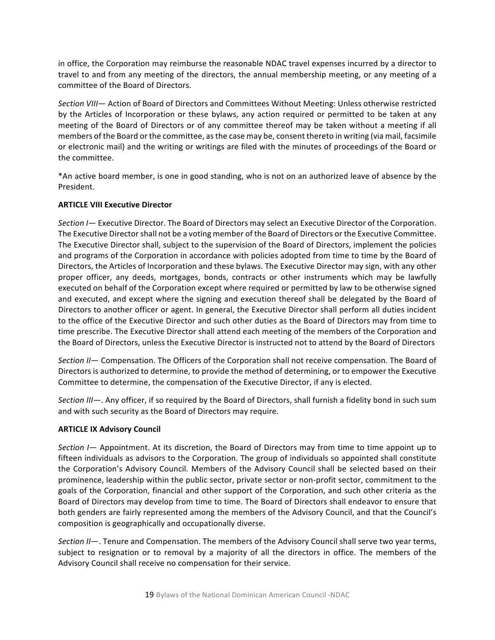in office, the Corporation may reimburse the reasonable NDAC travel expenses incurred by a director to travel to and from any meeting of the directors, the annual membership meeting, or any meeting of a committee of the Board of Directors.

Section VIII— Action of Board of Directors and Committees Without Meeting: Unless otherwise restricted by the Articles of Incorporation or these bylaws, any action required or permitted to be taken at any meeting of the Board of Directors or of any committee thereof may be taken without a meeting if all members of the Board or the committee, as the case may be, consent thereto in writing (via mail, facsimile or electronic mail) and the writing or writings are filed with the minutes of proceedings of the Board or the committee.

\*An active board member, is one in good standing, who is not on an authorized leave of absence by the President.

# **ARTICLE VIII Executive Director**

Section *I*— Executive Director. The Board of Directors may select an Executive Director of the Corporation. The Executive Director shall not be a voting member of the Board of Directors or the Executive Committee. The Executive Director shall, subject to the supervision of the Board of Directors, implement the policies and programs of the Corporation in accordance with policies adopted from time to time by the Board of Directors, the Articles of Incorporation and these bylaws. The Executive Director may sign, with any other proper officer, any deeds, mortgages, bonds, contracts or other instruments which may be lawfully executed on behalf of the Corporation except where required or permitted by law to be otherwise signed and executed, and except where the signing and execution thereof shall be delegated by the Board of Directors to another officer or agent. In general, the Executive Director shall perform all duties incident to the office of the Executive Director and such other duties as the Board of Directors may from time to time prescribe. The Executive Director shall attend each meeting of the members of the Corporation and the Board of Directors, unless the Executive Director is instructed not to attend by the Board of Directors

Section II- Compensation. The Officers of the Corporation shall not receive compensation. The Board of Directors is authorized to determine, to provide the method of determining, or to empower the Executive Committee to determine, the compensation of the Executive Director, if any is elected.

*Section III*—. Any officer, if so required by the Board of Directors, shall furnish a fidelity bond in such sum and with such security as the Board of Directors may require.

#### **ARTICLE IX Advisory Council**

*Section* I — Appointment. At its discretion, the Board of Directors may from time to time appoint up to fifteen individuals as advisors to the Corporation. The group of individuals so appointed shall constitute the Corporation's Advisory Council. Members of the Advisory Council shall be selected based on their prominence, leadership within the public sector, private sector or non-profit sector, commitment to the goals of the Corporation, financial and other support of the Corporation, and such other criteria as the Board of Directors may develop from time to time. The Board of Directors shall endeavor to ensure that both genders are fairly represented among the members of the Advisory Council, and that the Council's composition is geographically and occupationally diverse.

*Section II*—. Tenure and Compensation. The members of the Advisory Council shall serve two year terms, subject to resignation or to removal by a majority of all the directors in office. The members of the Advisory Council shall receive no compensation for their service.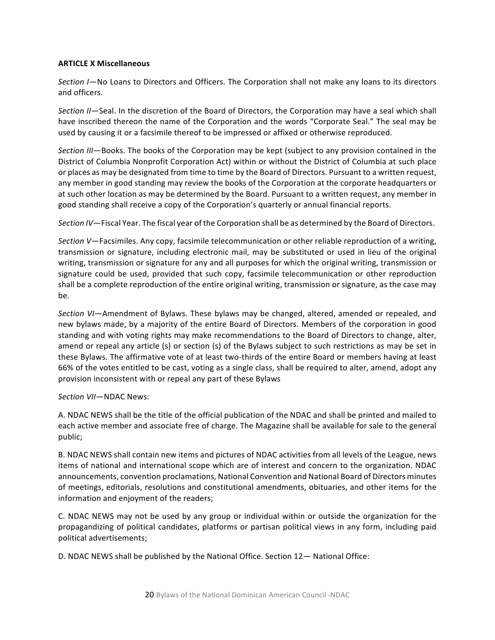# **ARTICLE X Miscellaneous**

*Section* I-No Loans to Directors and Officers. The Corporation shall not make any loans to its directors and officers.

*Section* II—Seal. In the discretion of the Board of Directors, the Corporation may have a seal which shall have inscribed thereon the name of the Corporation and the words "Corporate Seal." The seal may be used by causing it or a facsimile thereof to be impressed or affixed or otherwise reproduced.

*Section III*—Books. The books of the Corporation may be kept (subject to any provision contained in the District of Columbia Nonprofit Corporation Act) within or without the District of Columbia at such place or places as may be designated from time to time by the Board of Directors. Pursuant to a written request, any member in good standing may review the books of the Corporation at the corporate headquarters or at such other location as may be determined by the Board. Pursuant to a written request, any member in good standing shall receive a copy of the Corporation's quarterly or annual financial reports.

Section IV—Fiscal Year. The fiscal year of the Corporation shall be as determined by the Board of Directors.

*Section V*—Facsimiles. Any copy, facsimile telecommunication or other reliable reproduction of a writing, transmission or signature, including electronic mail, may be substituted or used in lieu of the original writing, transmission or signature for any and all purposes for which the original writing, transmission or signature could be used, provided that such copy, facsimile telecommunication or other reproduction shall be a complete reproduction of the entire original writing, transmission or signature, as the case may be.

Section VI—Amendment of Bylaws. These bylaws may be changed, altered, amended or repealed, and new bylaws made, by a majority of the entire Board of Directors. Members of the corporation in good standing and with voting rights may make recommendations to the Board of Directors to change, alter, amend or repeal any article (s) or section (s) of the Bylaws subject to such restrictions as may be set in these Bylaws. The affirmative vote of at least two-thirds of the entire Board or members having at least 66% of the votes entitled to be cast, voting as a single class, shall be required to alter, amend, adopt any provision inconsistent with or repeal any part of these Bylaws

#### Section  $VII$ —NDAC News:

A. NDAC NEWS shall be the title of the official publication of the NDAC and shall be printed and mailed to each active member and associate free of charge. The Magazine shall be available for sale to the general public;

B. NDAC NEWS shall contain new items and pictures of NDAC activities from all levels of the League, news items of national and international scope which are of interest and concern to the organization. NDAC announcements, convention proclamations, National Convention and National Board of Directors minutes of meetings, editorials, resolutions and constitutional amendments, obituaries, and other items for the information and enjoyment of the readers;

C. NDAC NEWS may not be used by any group or individual within or outside the organization for the propagandizing of political candidates, platforms or partisan political views in any form, including paid political advertisements;

D. NDAC NEWS shall be published by the National Office. Section 12- National Office: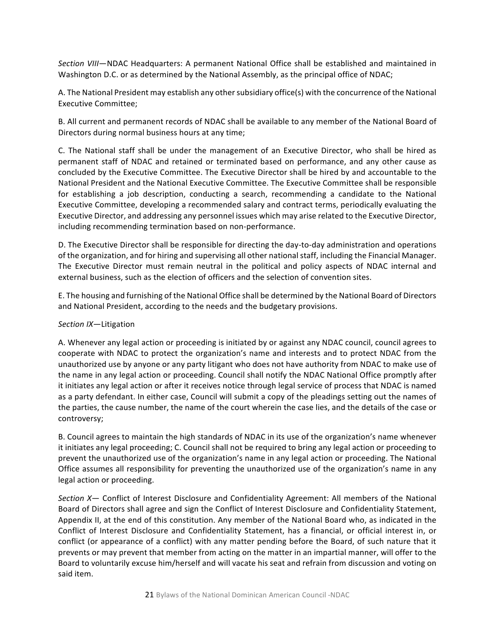*Section VIII*—NDAC Headquarters: A permanent National Office shall be established and maintained in Washington D.C. or as determined by the National Assembly, as the principal office of NDAC;

A. The National President may establish any other subsidiary office(s) with the concurrence of the National Executive Committee;

B. All current and permanent records of NDAC shall be available to any member of the National Board of Directors during normal business hours at any time;

C. The National staff shall be under the management of an Executive Director, who shall be hired as permanent staff of NDAC and retained or terminated based on performance, and any other cause as concluded by the Executive Committee. The Executive Director shall be hired by and accountable to the National President and the National Executive Committee. The Executive Committee shall be responsible for establishing a job description, conducting a search, recommending a candidate to the National Executive Committee, developing a recommended salary and contract terms, periodically evaluating the Executive Director, and addressing any personnel issues which may arise related to the Executive Director, including recommending termination based on non-performance.

D. The Executive Director shall be responsible for directing the day-to-day administration and operations of the organization, and for hiring and supervising all other national staff, including the Financial Manager. The Executive Director must remain neutral in the political and policy aspects of NDAC internal and external business, such as the election of officers and the selection of convention sites.

E. The housing and furnishing of the National Office shall be determined by the National Board of Directors and National President, according to the needs and the budgetary provisions.

# *Section IX*—Litigation

A. Whenever any legal action or proceeding is initiated by or against any NDAC council, council agrees to cooperate with NDAC to protect the organization's name and interests and to protect NDAC from the unauthorized use by anyone or any party litigant who does not have authority from NDAC to make use of the name in any legal action or proceeding. Council shall notify the NDAC National Office promptly after it initiates any legal action or after it receives notice through legal service of process that NDAC is named as a party defendant. In either case, Council will submit a copy of the pleadings setting out the names of the parties, the cause number, the name of the court wherein the case lies, and the details of the case or controversy;

B. Council agrees to maintain the high standards of NDAC in its use of the organization's name whenever it initiates any legal proceeding; C. Council shall not be required to bring any legal action or proceeding to prevent the unauthorized use of the organization's name in any legal action or proceeding. The National Office assumes all responsibility for preventing the unauthorized use of the organization's name in any legal action or proceeding.

Section X- Conflict of Interest Disclosure and Confidentiality Agreement: All members of the National Board of Directors shall agree and sign the Conflict of Interest Disclosure and Confidentiality Statement, Appendix II, at the end of this constitution. Any member of the National Board who, as indicated in the Conflict of Interest Disclosure and Confidentiality Statement, has a financial, or official interest in, or conflict (or appearance of a conflict) with any matter pending before the Board, of such nature that it prevents or may prevent that member from acting on the matter in an impartial manner, will offer to the Board to voluntarily excuse him/herself and will vacate his seat and refrain from discussion and voting on said item.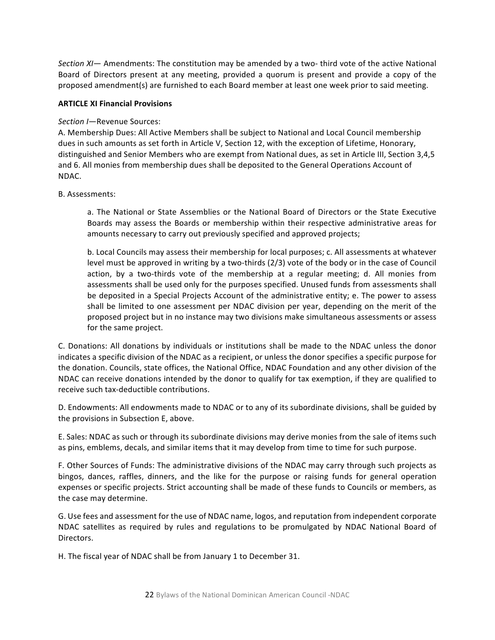*Section XI*— Amendments: The constitution may be amended by a two- third vote of the active National Board of Directors present at any meeting, provided a quorum is present and provide a copy of the proposed amendment(s) are furnished to each Board member at least one week prior to said meeting.

# **ARTICLE XI Financial Provisions**

# Section *I*—Revenue Sources:

A. Membership Dues: All Active Members shall be subject to National and Local Council membership dues in such amounts as set forth in Article V, Section 12, with the exception of Lifetime, Honorary, distinguished and Senior Members who are exempt from National dues, as set in Article III, Section 3,4,5 and 6. All monies from membership dues shall be deposited to the General Operations Account of NDAC.

# B. Assessments:

a. The National or State Assemblies or the National Board of Directors or the State Executive Boards may assess the Boards or membership within their respective administrative areas for amounts necessary to carry out previously specified and approved projects;

b. Local Councils may assess their membership for local purposes; c. All assessments at whatever level must be approved in writing by a two-thirds  $(2/3)$  vote of the body or in the case of Council action, by a two-thirds vote of the membership at a regular meeting; d. All monies from assessments shall be used only for the purposes specified. Unused funds from assessments shall be deposited in a Special Projects Account of the administrative entity; e. The power to assess shall be limited to one assessment per NDAC division per year, depending on the merit of the proposed project but in no instance may two divisions make simultaneous assessments or assess for the same project.

C. Donations: All donations by individuals or institutions shall be made to the NDAC unless the donor indicates a specific division of the NDAC as a recipient, or unless the donor specifies a specific purpose for the donation. Councils, state offices, the National Office, NDAC Foundation and any other division of the NDAC can receive donations intended by the donor to qualify for tax exemption, if they are qualified to receive such tax-deductible contributions.

D. Endowments: All endowments made to NDAC or to any of its subordinate divisions, shall be guided by the provisions in Subsection E, above.

E. Sales: NDAC as such or through its subordinate divisions may derive monies from the sale of items such as pins, emblems, decals, and similar items that it may develop from time to time for such purpose.

F. Other Sources of Funds: The administrative divisions of the NDAC may carry through such projects as bingos, dances, raffles, dinners, and the like for the purpose or raising funds for general operation expenses or specific projects. Strict accounting shall be made of these funds to Councils or members, as the case may determine.

G. Use fees and assessment for the use of NDAC name, logos, and reputation from independent corporate NDAC satellites as required by rules and regulations to be promulgated by NDAC National Board of Directors.

H. The fiscal year of NDAC shall be from January 1 to December 31.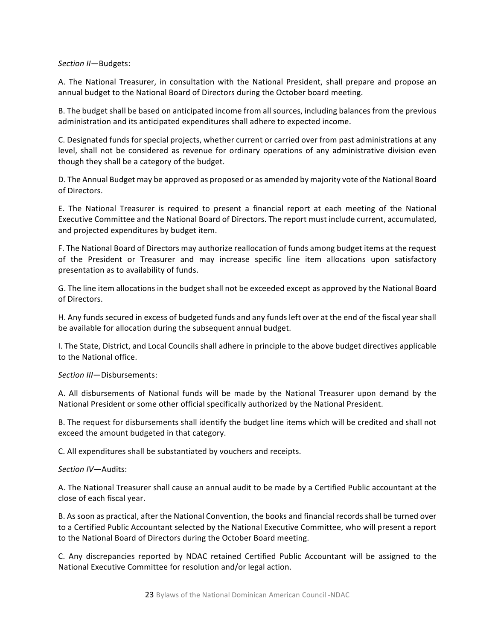#### *Section II*—Budgets:

A. The National Treasurer, in consultation with the National President, shall prepare and propose an annual budget to the National Board of Directors during the October board meeting.

B. The budget shall be based on anticipated income from all sources, including balances from the previous administration and its anticipated expenditures shall adhere to expected income.

C. Designated funds for special projects, whether current or carried over from past administrations at any level, shall not be considered as revenue for ordinary operations of any administrative division even though they shall be a category of the budget.

D. The Annual Budget may be approved as proposed or as amended by majority vote of the National Board of Directors.

E. The National Treasurer is required to present a financial report at each meeting of the National Executive Committee and the National Board of Directors. The report must include current, accumulated, and projected expenditures by budget item.

F. The National Board of Directors may authorize reallocation of funds among budget items at the request of the President or Treasurer and may increase specific line item allocations upon satisfactory presentation as to availability of funds.

G. The line item allocations in the budget shall not be exceeded except as approved by the National Board of Directors.

H. Any funds secured in excess of budgeted funds and any funds left over at the end of the fiscal year shall be available for allocation during the subsequent annual budget.

I. The State, District, and Local Councils shall adhere in principle to the above budget directives applicable to the National office.

*Section III*—Disbursements:

A. All disbursements of National funds will be made by the National Treasurer upon demand by the National President or some other official specifically authorized by the National President.

B. The request for disbursements shall identify the budget line items which will be credited and shall not exceed the amount budgeted in that category.

C. All expenditures shall be substantiated by vouchers and receipts.

*Section IV*—Audits:

A. The National Treasurer shall cause an annual audit to be made by a Certified Public accountant at the close of each fiscal year.

B. As soon as practical, after the National Convention, the books and financial records shall be turned over to a Certified Public Accountant selected by the National Executive Committee, who will present a report to the National Board of Directors during the October Board meeting.

C. Any discrepancies reported by NDAC retained Certified Public Accountant will be assigned to the National Executive Committee for resolution and/or legal action.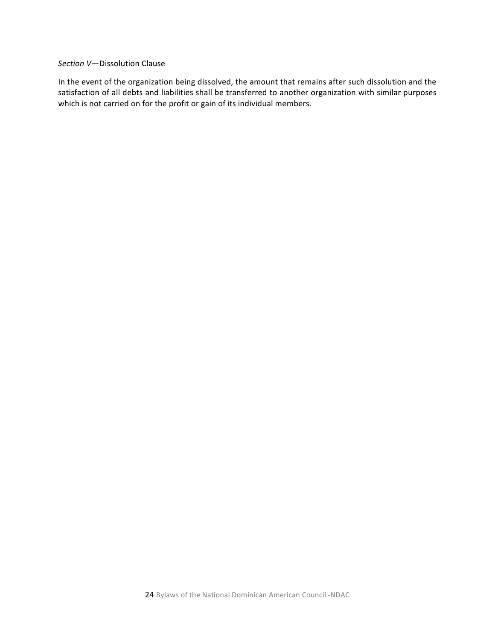#### *Section V*—Dissolution Clause

In the event of the organization being dissolved, the amount that remains after such dissolution and the satisfaction of all debts and liabilities shall be transferred to another organization with similar purposes which is not carried on for the profit or gain of its individual members.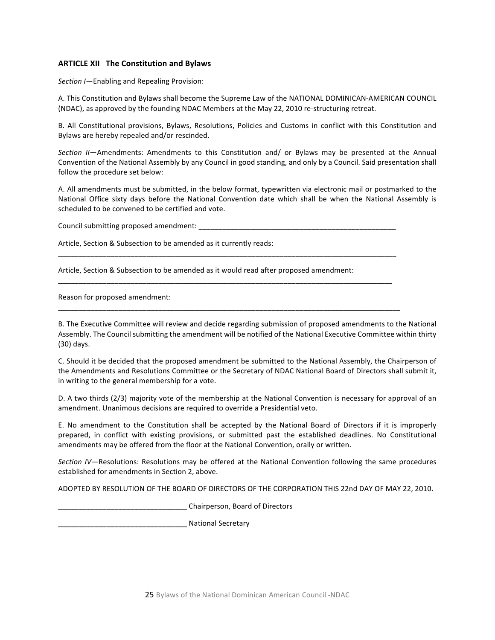#### **ARTICLE XII** The Constitution and Bylaws

*Section I*—Enabling and Repealing Provision:

A. This Constitution and Bylaws shall become the Supreme Law of the NATIONAL DOMINICAN-AMERICAN COUNCIL (NDAC), as approved by the founding NDAC Members at the May 22, 2010 re-structuring retreat.

B. All Constitutional provisions, Bylaws, Resolutions, Policies and Customs in conflict with this Constitution and Bylaws are hereby repealed and/or rescinded.

*Section II*—Amendments: Amendments to this Constitution and/ or Bylaws may be presented at the Annual Convention of the National Assembly by any Council in good standing, and only by a Council. Said presentation shall follow the procedure set below:

A. All amendments must be submitted, in the below format, typewritten via electronic mail or postmarked to the National Office sixty days before the National Convention date which shall be when the National Assembly is scheduled to be convened to be certified and vote.

Council submitting proposed amendment:

\_\_\_\_\_\_\_\_\_\_\_\_\_\_\_\_\_\_\_\_\_\_\_\_\_\_\_\_\_\_\_\_\_\_\_\_\_\_\_\_\_\_\_\_\_\_\_\_\_\_\_\_\_\_\_\_\_\_\_\_\_\_\_\_\_\_\_\_\_\_\_\_\_\_\_\_\_\_\_\_\_\_\_\_

\_\_\_\_\_\_\_\_\_\_\_\_\_\_\_\_\_\_\_\_\_\_\_\_\_\_\_\_\_\_\_\_\_\_\_\_\_\_\_\_\_\_\_\_\_\_\_\_\_\_\_\_\_\_\_\_\_\_\_\_\_\_\_\_\_\_\_\_\_\_\_\_\_\_\_\_\_\_\_\_\_\_\_ 

\_\_\_\_\_\_\_\_\_\_\_\_\_\_\_\_\_\_\_\_\_\_\_\_\_\_\_\_\_\_\_\_\_\_\_\_\_\_\_\_\_\_\_\_\_\_\_\_\_\_\_\_\_\_\_\_\_\_\_\_\_\_\_\_\_\_\_\_\_\_\_\_\_\_\_\_\_\_\_\_\_\_\_\_\_

Article, Section & Subsection to be amended as it currently reads:

Article, Section & Subsection to be amended as it would read after proposed amendment:

Reason for proposed amendment:

B. The Executive Committee will review and decide regarding submission of proposed amendments to the National Assembly. The Council submitting the amendment will be notified of the National Executive Committee within thirty (30) days.

C. Should it be decided that the proposed amendment be submitted to the National Assembly, the Chairperson of the Amendments and Resolutions Committee or the Secretary of NDAC National Board of Directors shall submit it, in writing to the general membership for a vote.

D. A two thirds (2/3) majority vote of the membership at the National Convention is necessary for approval of an amendment. Unanimous decisions are required to override a Presidential veto.

E. No amendment to the Constitution shall be accepted by the National Board of Directors if it is improperly prepared, in conflict with existing provisions, or submitted past the established deadlines. No Constitutional amendments may be offered from the floor at the National Convention, orally or written.

Section IV—Resolutions: Resolutions may be offered at the National Convention following the same procedures established for amendments in Section 2, above.

ADOPTED BY RESOLUTION OF THE BOARD OF DIRECTORS OF THE CORPORATION THIS 22nd DAY OF MAY 22, 2010.

\_\_\_\_\_\_\_\_\_\_\_\_\_\_\_\_\_\_\_\_\_\_\_\_\_\_\_\_\_\_\_\_ Chairperson, Board of Directors

\_\_\_\_\_\_\_\_\_\_\_\_\_\_\_\_\_\_\_\_\_\_\_\_\_\_\_\_\_\_\_\_ National Secretary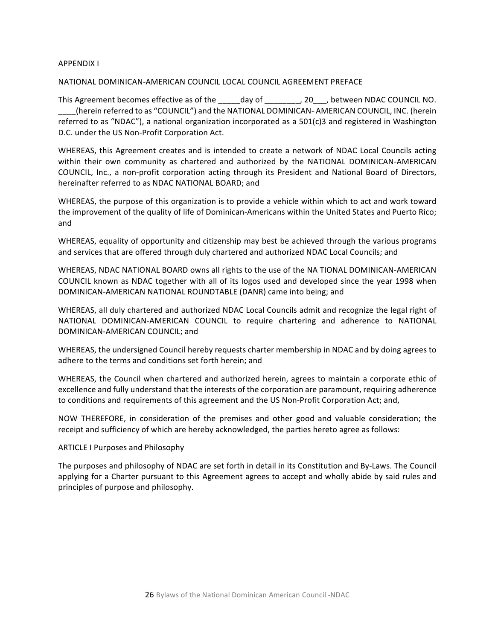#### **APPENDIX I**

#### NATIONAL DOMINICAN-AMERICAN COUNCIL LOCAL COUNCIL AGREEMENT PREFACE

This Agreement becomes effective as of the day of the council and the state of the state of the council NO.  $\_$ (herein referred to as "COUNCIL") and the NATIONAL DOMINICAN- AMERICAN COUNCIL, INC. (herein referred to as "NDAC"), a national organization incorporated as a  $501(c)3$  and registered in Washington D.C. under the US Non-Profit Corporation Act.

WHEREAS, this Agreement creates and is intended to create a network of NDAC Local Councils acting within their own community as chartered and authorized by the NATIONAL DOMINICAN-AMERICAN COUNCIL, Inc., a non-profit corporation acting through its President and National Board of Directors, hereinafter referred to as NDAC NATIONAL BOARD; and

WHEREAS, the purpose of this organization is to provide a vehicle within which to act and work toward the improvement of the quality of life of Dominican-Americans within the United States and Puerto Rico; and

WHEREAS, equality of opportunity and citizenship may best be achieved through the various programs and services that are offered through duly chartered and authorized NDAC Local Councils; and

WHEREAS, NDAC NATIONAL BOARD owns all rights to the use of the NA TIONAL DOMINICAN-AMERICAN COUNCIL known as NDAC together with all of its logos used and developed since the year 1998 when DOMINICAN-AMERICAN NATIONAL ROUNDTABLE (DANR) came into being; and

WHEREAS, all duly chartered and authorized NDAC Local Councils admit and recognize the legal right of NATIONAL DOMINICAN-AMERICAN COUNCIL to require chartering and adherence to NATIONAL DOMINICAN-AMERICAN COUNCIL; and

WHEREAS, the undersigned Council hereby requests charter membership in NDAC and by doing agrees to adhere to the terms and conditions set forth herein; and

WHEREAS, the Council when chartered and authorized herein, agrees to maintain a corporate ethic of excellence and fully understand that the interests of the corporation are paramount, requiring adherence to conditions and requirements of this agreement and the US Non-Profit Corporation Act; and,

NOW THEREFORE, in consideration of the premises and other good and valuable consideration; the receipt and sufficiency of which are hereby acknowledged, the parties hereto agree as follows:

#### ARTICLE I Purposes and Philosophy

The purposes and philosophy of NDAC are set forth in detail in its Constitution and By-Laws. The Council applying for a Charter pursuant to this Agreement agrees to accept and wholly abide by said rules and principles of purpose and philosophy.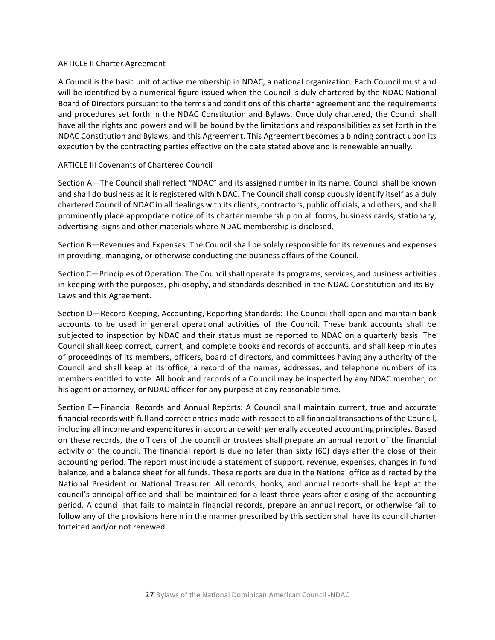#### **ARTICLE II Charter Agreement**

A Council is the basic unit of active membership in NDAC, a national organization. Each Council must and will be identified by a numerical figure issued when the Council is duly chartered by the NDAC National Board of Directors pursuant to the terms and conditions of this charter agreement and the requirements and procedures set forth in the NDAC Constitution and Bylaws. Once duly chartered, the Council shall have all the rights and powers and will be bound by the limitations and responsibilities as set forth in the NDAC Constitution and Bylaws, and this Agreement. This Agreement becomes a binding contract upon its execution by the contracting parties effective on the date stated above and is renewable annually.

# **ARTICLE III Covenants of Chartered Council**

Section A-The Council shall reflect "NDAC" and its assigned number in its name. Council shall be known and shall do business as it is registered with NDAC. The Council shall conspicuously identify itself as a duly chartered Council of NDAC in all dealings with its clients, contractors, public officials, and others, and shall prominently place appropriate notice of its charter membership on all forms, business cards, stationary, advertising, signs and other materials where NDAC membership is disclosed.

Section B-Revenues and Expenses: The Council shall be solely responsible for its revenues and expenses in providing, managing, or otherwise conducting the business affairs of the Council.

Section C-Principles of Operation: The Council shall operate its programs, services, and business activities in keeping with the purposes, philosophy, and standards described in the NDAC Constitution and its By-Laws and this Agreement.

Section D—Record Keeping, Accounting, Reporting Standards: The Council shall open and maintain bank accounts to be used in general operational activities of the Council. These bank accounts shall be subjected to inspection by NDAC and their status must be reported to NDAC on a quarterly basis. The Council shall keep correct, current, and complete books and records of accounts, and shall keep minutes of proceedings of its members, officers, board of directors, and committees having any authority of the Council and shall keep at its office, a record of the names, addresses, and telephone numbers of its members entitled to vote. All book and records of a Council may be inspected by any NDAC member, or his agent or attorney, or NDAC officer for any purpose at any reasonable time.

Section E-Financial Records and Annual Reports: A Council shall maintain current, true and accurate financial records with full and correct entries made with respect to all financial transactions of the Council, including all income and expenditures in accordance with generally accepted accounting principles. Based on these records, the officers of the council or trustees shall prepare an annual report of the financial activity of the council. The financial report is due no later than sixty  $(60)$  days after the close of their accounting period. The report must include a statement of support, revenue, expenses, changes in fund balance, and a balance sheet for all funds. These reports are due in the National office as directed by the National President or National Treasurer. All records, books, and annual reports shall be kept at the council's principal office and shall be maintained for a least three years after closing of the accounting period. A council that fails to maintain financial records, prepare an annual report, or otherwise fail to follow any of the provisions herein in the manner prescribed by this section shall have its council charter forfeited and/or not renewed.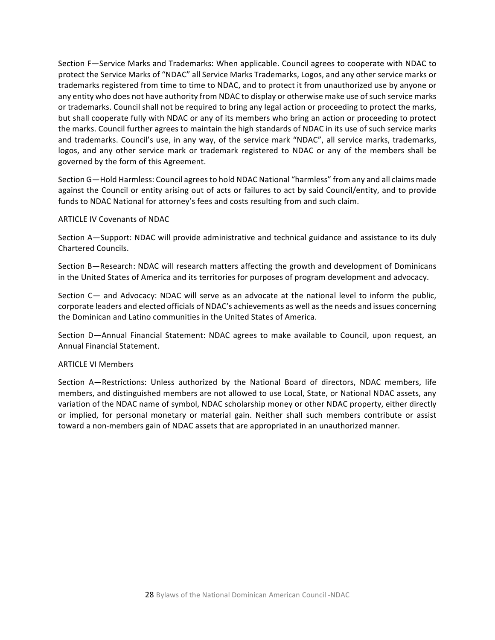Section F-Service Marks and Trademarks: When applicable. Council agrees to cooperate with NDAC to protect the Service Marks of "NDAC" all Service Marks Trademarks, Logos, and any other service marks or trademarks registered from time to time to NDAC, and to protect it from unauthorized use by anyone or any entity who does not have authority from NDAC to display or otherwise make use of such service marks or trademarks. Council shall not be required to bring any legal action or proceeding to protect the marks, but shall cooperate fully with NDAC or any of its members who bring an action or proceeding to protect the marks. Council further agrees to maintain the high standards of NDAC in its use of such service marks and trademarks. Council's use, in any way, of the service mark "NDAC", all service marks, trademarks, logos, and any other service mark or trademark registered to NDAC or any of the members shall be governed by the form of this Agreement.

Section G—Hold Harmless: Council agrees to hold NDAC National "harmless" from any and all claims made against the Council or entity arising out of acts or failures to act by said Council/entity, and to provide funds to NDAC National for attorney's fees and costs resulting from and such claim.

#### ARTICLE IV Covenants of NDAC

Section A-Support: NDAC will provide administrative and technical guidance and assistance to its duly Chartered Councils.

Section B-Research: NDAC will research matters affecting the growth and development of Dominicans in the United States of America and its territories for purposes of program development and advocacy.

Section  $C$ — and Advocacy: NDAC will serve as an advocate at the national level to inform the public, corporate leaders and elected officials of NDAC's achievements as well as the needs and issues concerning the Dominican and Latino communities in the United States of America.

Section D-Annual Financial Statement: NDAC agrees to make available to Council, upon request, an Annual Financial Statement.

#### **ARTICLE VI Members**

Section A-Restrictions: Unless authorized by the National Board of directors, NDAC members, life members, and distinguished members are not allowed to use Local, State, or National NDAC assets, any variation of the NDAC name of symbol, NDAC scholarship money or other NDAC property, either directly or implied, for personal monetary or material gain. Neither shall such members contribute or assist toward a non-members gain of NDAC assets that are appropriated in an unauthorized manner.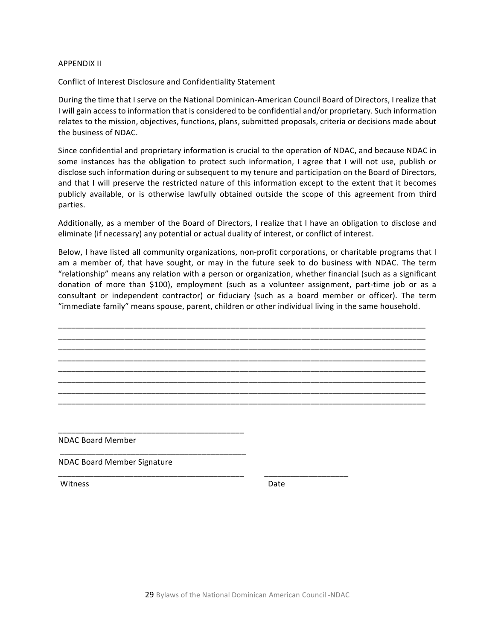#### **APPENDIX II**

Conflict of Interest Disclosure and Confidentiality Statement

During the time that I serve on the National Dominican-American Council Board of Directors, I realize that I will gain access to information that is considered to be confidential and/or proprietary. Such information relates to the mission, objectives, functions, plans, submitted proposals, criteria or decisions made about the business of NDAC.

Since confidential and proprietary information is crucial to the operation of NDAC, and because NDAC in some instances has the obligation to protect such information, I agree that I will not use, publish or disclose such information during or subsequent to my tenure and participation on the Board of Directors, and that I will preserve the restricted nature of this information except to the extent that it becomes publicly available, or is otherwise lawfully obtained outside the scope of this agreement from third parties.

Additionally, as a member of the Board of Directors, I realize that I have an obligation to disclose and eliminate (if necessary) any potential or actual duality of interest, or conflict of interest.

Below, I have listed all community organizations, non-profit corporations, or charitable programs that I am a member of, that have sought, or may in the future seek to do business with NDAC. The term "relationship" means any relation with a person or organization, whether financial (such as a significant donation of more than \$100), employment (such as a volunteer assignment, part-time job or as a consultant or independent contractor) or fiduciary (such as a board member or officer). The term "immediate family" means spouse, parent, children or other individual living in the same household.

\_\_\_\_\_\_\_\_\_\_\_\_\_\_\_\_\_\_\_\_\_\_\_\_\_\_\_\_\_\_\_\_\_\_\_\_\_\_\_\_\_\_\_\_\_\_\_\_\_\_\_\_\_\_\_\_\_\_\_\_\_\_\_\_\_\_\_\_\_\_\_\_\_\_\_\_\_\_\_\_\_\_\_ \_\_\_\_\_\_\_\_\_\_\_\_\_\_\_\_\_\_\_\_\_\_\_\_\_\_\_\_\_\_\_\_\_\_\_\_\_\_\_\_\_\_\_\_\_\_\_\_\_\_\_\_\_\_\_\_\_\_\_\_\_\_\_\_\_\_\_\_\_\_\_\_\_\_\_\_\_\_\_\_\_\_\_ \_\_\_\_\_\_\_\_\_\_\_\_\_\_\_\_\_\_\_\_\_\_\_\_\_\_\_\_\_\_\_\_\_\_\_\_\_\_\_\_\_\_\_\_\_\_\_\_\_\_\_\_\_\_\_\_\_\_\_\_\_\_\_\_\_\_\_\_\_\_\_\_\_\_\_\_\_\_\_\_\_\_\_ \_\_\_\_\_\_\_\_\_\_\_\_\_\_\_\_\_\_\_\_\_\_\_\_\_\_\_\_\_\_\_\_\_\_\_\_\_\_\_\_\_\_\_\_\_\_\_\_\_\_\_\_\_\_\_\_\_\_\_\_\_\_\_\_\_\_\_\_\_\_\_\_\_\_\_\_\_\_\_\_\_\_\_ \_\_\_\_\_\_\_\_\_\_\_\_\_\_\_\_\_\_\_\_\_\_\_\_\_\_\_\_\_\_\_\_\_\_\_\_\_\_\_\_\_\_\_\_\_\_\_\_\_\_\_\_\_\_\_\_\_\_\_\_\_\_\_\_\_\_\_\_\_\_\_\_\_\_\_\_\_\_\_\_\_\_\_ \_\_\_\_\_\_\_\_\_\_\_\_\_\_\_\_\_\_\_\_\_\_\_\_\_\_\_\_\_\_\_\_\_\_\_\_\_\_\_\_\_\_\_\_\_\_\_\_\_\_\_\_\_\_\_\_\_\_\_\_\_\_\_\_\_\_\_\_\_\_\_\_\_\_\_\_\_\_\_\_\_\_\_ \_\_\_\_\_\_\_\_\_\_\_\_\_\_\_\_\_\_\_\_\_\_\_\_\_\_\_\_\_\_\_\_\_\_\_\_\_\_\_\_\_\_\_\_\_\_\_\_\_\_\_\_\_\_\_\_\_\_\_\_\_\_\_\_\_\_\_\_\_\_\_\_\_\_\_\_\_\_\_\_\_\_\_ \_\_\_\_\_\_\_\_\_\_\_\_\_\_\_\_\_\_\_\_\_\_\_\_\_\_\_\_\_\_\_\_\_\_\_\_\_\_\_\_\_\_\_\_\_\_\_\_\_\_\_\_\_\_\_\_\_\_\_\_\_\_\_\_\_\_\_\_\_\_\_\_\_\_\_\_\_\_\_\_\_\_\_

NDAC Board Member

NDAC Board Member Signature 

\_\_\_\_\_\_\_\_\_\_\_\_\_\_\_\_\_\_\_\_\_\_\_\_\_\_\_\_\_\_\_\_\_\_\_\_\_\_\_\_\_\_ 

\_\_\_\_\_\_\_\_\_\_\_\_\_\_\_\_\_\_\_\_\_\_\_\_\_\_\_\_\_\_\_\_\_\_\_\_\_\_\_\_\_\_ 

\_\_\_\_\_\_\_\_\_\_\_\_\_\_\_\_\_\_\_\_\_\_\_\_\_\_\_\_\_\_\_\_\_\_\_\_\_\_\_\_\_\_ \_\_\_\_\_\_\_\_\_\_\_\_\_\_\_\_\_\_\_

Witness Date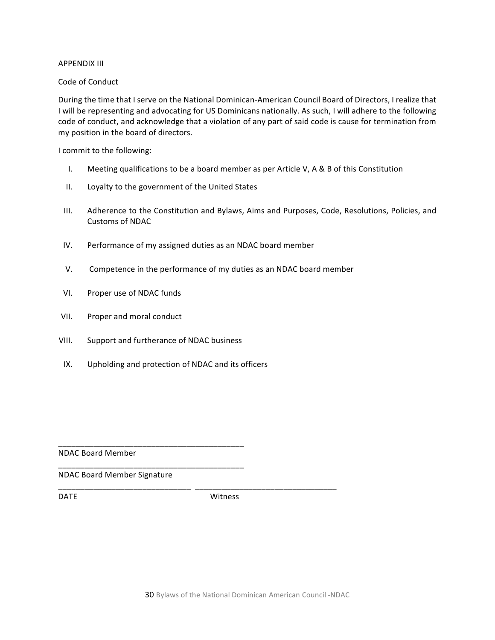#### **APPENDIX III**

# Code of Conduct

During the time that I serve on the National Dominican-American Council Board of Directors, I realize that I will be representing and advocating for US Dominicans nationally. As such, I will adhere to the following code of conduct, and acknowledge that a violation of any part of said code is cause for termination from my position in the board of directors.

I commit to the following:

- I. Meeting qualifications to be a board member as per Article V, A & B of this Constitution
- II. Loyalty to the government of the United States
- III. Adherence to the Constitution and Bylaws, Aims and Purposes, Code, Resolutions, Policies, and Customs of NDAC
- IV. Performance of my assigned duties as an NDAC board member
- V. Competence in the performance of my duties as an NDAC board member
- VI. Proper use of NDAC funds
- VII. Proper and moral conduct
- VIII. Support and furtherance of NDAC business

\_\_\_\_\_\_\_\_\_\_\_\_\_\_\_\_\_\_\_\_\_\_\_\_\_\_\_\_\_\_\_\_\_\_\_\_\_\_\_\_\_\_ 

\_\_\_\_\_\_\_\_\_\_\_\_\_\_\_\_\_\_\_\_\_\_\_\_\_\_\_\_\_\_\_\_\_\_\_\_\_\_\_\_\_\_ 

IX. Upholding and protection of NDAC and its officers

NDAC Board Member

NDAC Board Member Signature

DATE Witness

\_\_\_\_\_\_\_\_\_\_\_\_\_\_\_\_\_\_\_\_\_\_\_\_\_\_\_\_\_\_ \_\_\_\_\_\_\_\_\_\_\_\_\_\_\_\_\_\_\_\_\_\_\_\_\_\_\_\_\_\_\_\_